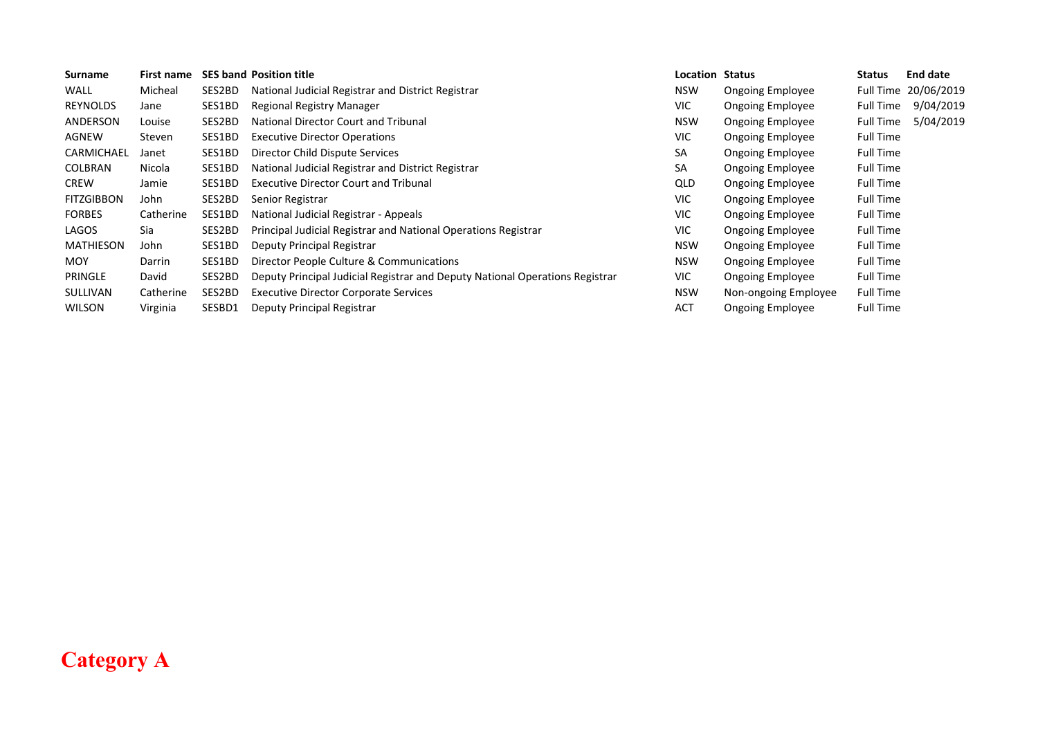| Surname           | First name |        | <b>SES band Position title</b>                                               | Location   | Status                  | Status           | <b>End date</b>      |
|-------------------|------------|--------|------------------------------------------------------------------------------|------------|-------------------------|------------------|----------------------|
| <b>WALL</b>       | Micheal    | SES2BD | National Judicial Registrar and District Registrar                           | <b>NSW</b> | <b>Ongoing Employee</b> |                  | Full Time 20/06/2019 |
| <b>REYNOLDS</b>   | Jane       | SES1BD | Regional Registry Manager                                                    | VIC.       | <b>Ongoing Employee</b> | Full Time        | 9/04/2019            |
| ANDERSON          | Louise     | SES2BD | National Director Court and Tribunal                                         | <b>NSW</b> | <b>Ongoing Employee</b> | Full Time        | 5/04/2019            |
| AGNEW             | Steven     | SES1BD | <b>Executive Director Operations</b>                                         | <b>VIC</b> | <b>Ongoing Employee</b> | <b>Full Time</b> |                      |
| CARMICHAEL        | Janet      | SES1BD | Director Child Dispute Services                                              | SA         | <b>Ongoing Employee</b> | <b>Full Time</b> |                      |
| <b>COLBRAN</b>    | Nicola     | SES1BD | National Judicial Registrar and District Registrar                           | SA         | <b>Ongoing Employee</b> | <b>Full Time</b> |                      |
| <b>CREW</b>       | Jamie      | SES1BD | <b>Executive Director Court and Tribunal</b>                                 | QLD        | <b>Ongoing Employee</b> | <b>Full Time</b> |                      |
| <b>FITZGIBBON</b> | John       | SES2BD | Senior Registrar                                                             | VIC.       | <b>Ongoing Employee</b> | <b>Full Time</b> |                      |
| <b>FORBES</b>     | Catherine  | SES1BD | National Judicial Registrar - Appeals                                        | VIC.       | <b>Ongoing Employee</b> | <b>Full Time</b> |                      |
| LAGOS             | Sia        | SES2BD | Principal Judicial Registrar and National Operations Registrar               | VIC.       | <b>Ongoing Employee</b> | Full Time        |                      |
| <b>MATHIESON</b>  | John       | SES1BD | Deputy Principal Registrar                                                   | <b>NSW</b> | <b>Ongoing Employee</b> | <b>Full Time</b> |                      |
| <b>MOY</b>        | Darrin     | SES1BD | Director People Culture & Communications                                     | <b>NSW</b> | <b>Ongoing Employee</b> | <b>Full Time</b> |                      |
| PRINGLE           | David      | SES2BD | Deputy Principal Judicial Registrar and Deputy National Operations Registrar | VIC.       | <b>Ongoing Employee</b> | Full Time        |                      |
| <b>SULLIVAN</b>   | Catherine  | SES2BD | <b>Executive Director Corporate Services</b>                                 | <b>NSW</b> | Non-ongoing Employee    | <b>Full Time</b> |                      |
| <b>WILSON</b>     | Virginia   | SESBD1 | Deputy Principal Registrar                                                   | <b>ACT</b> | <b>Ongoing Employee</b> | <b>Full Time</b> |                      |

## **Category A**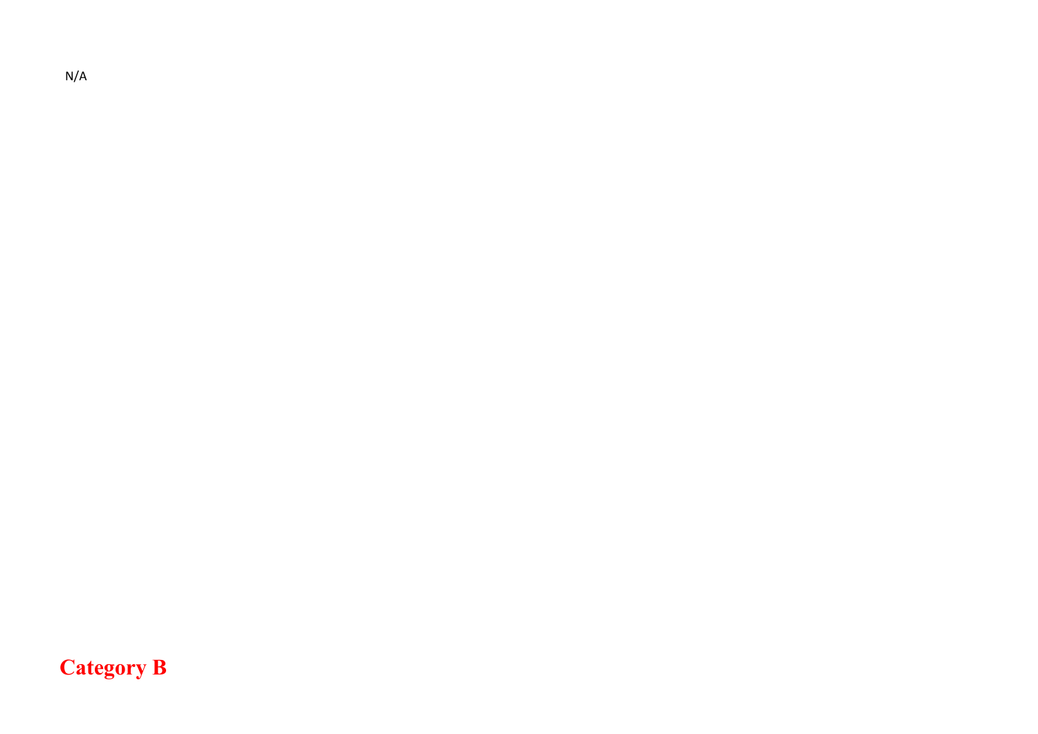N/A

## **Category B**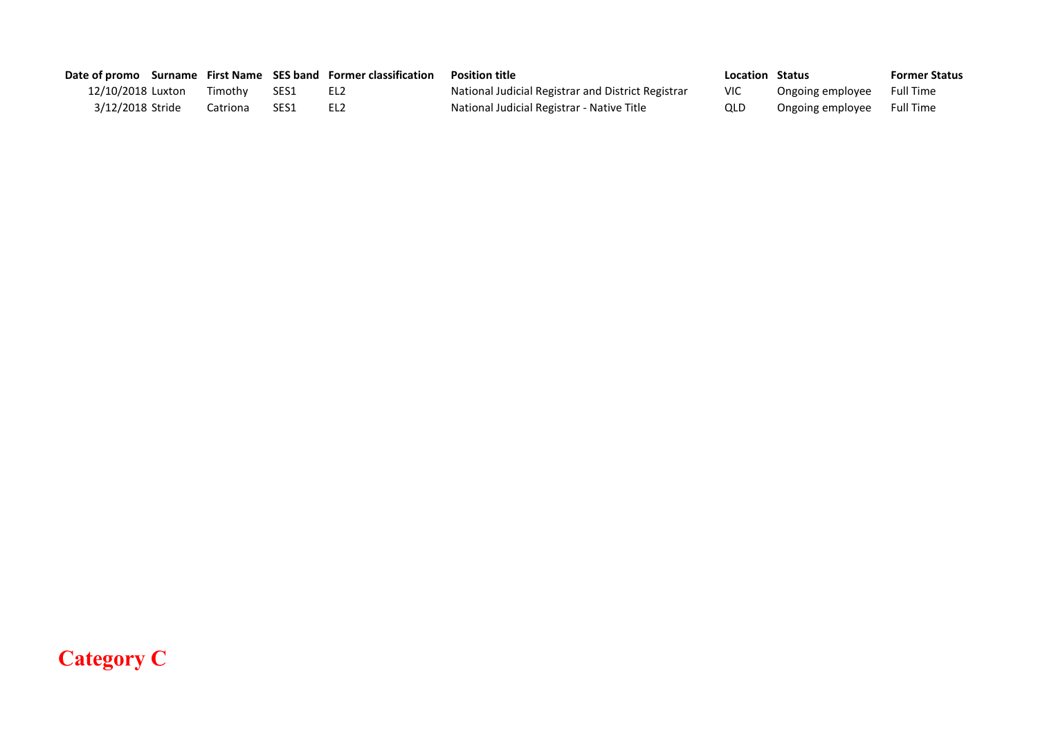|                   |          |      | Date of promo Surname First Name SES band Former classification | <b>Position title</b>                              | Location Status |                  | <b>Former Status</b> |
|-------------------|----------|------|-----------------------------------------------------------------|----------------------------------------------------|-----------------|------------------|----------------------|
| 12/10/2018 Luxton | Timothv  | SES1 | EL2                                                             | National Judicial Registrar and District Registrar | <b>VIC</b>      | Ongoing employee | Full Time            |
| 3/12/2018 Stride  | Catriona | SES1 | EL <sub>2</sub>                                                 | National Judicial Registrar - Native Title         | QLD             | Ongoing employee | <b>Full Time</b>     |

## **Category C**